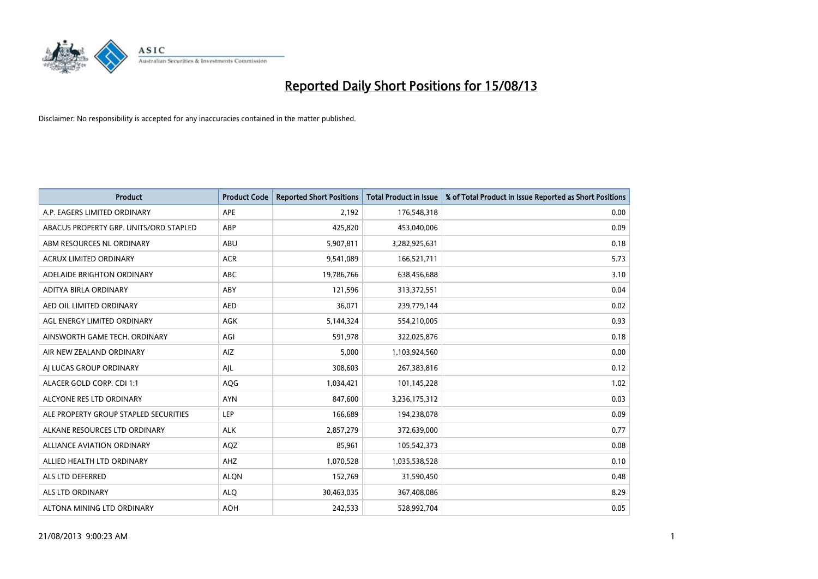

| <b>Product</b>                         | <b>Product Code</b> | <b>Reported Short Positions</b> | <b>Total Product in Issue</b> | % of Total Product in Issue Reported as Short Positions |
|----------------------------------------|---------------------|---------------------------------|-------------------------------|---------------------------------------------------------|
| A.P. EAGERS LIMITED ORDINARY           | APE                 | 2,192                           | 176,548,318                   | 0.00                                                    |
| ABACUS PROPERTY GRP. UNITS/ORD STAPLED | ABP                 | 425,820                         | 453,040,006                   | 0.09                                                    |
| ABM RESOURCES NL ORDINARY              | ABU                 | 5,907,811                       | 3,282,925,631                 | 0.18                                                    |
| <b>ACRUX LIMITED ORDINARY</b>          | <b>ACR</b>          | 9,541,089                       | 166,521,711                   | 5.73                                                    |
| ADELAIDE BRIGHTON ORDINARY             | <b>ABC</b>          | 19,786,766                      | 638,456,688                   | 3.10                                                    |
| ADITYA BIRLA ORDINARY                  | ABY                 | 121,596                         | 313,372,551                   | 0.04                                                    |
| AED OIL LIMITED ORDINARY               | <b>AED</b>          | 36,071                          | 239,779,144                   | 0.02                                                    |
| AGL ENERGY LIMITED ORDINARY            | AGK                 | 5,144,324                       | 554,210,005                   | 0.93                                                    |
| AINSWORTH GAME TECH. ORDINARY          | AGI                 | 591,978                         | 322,025,876                   | 0.18                                                    |
| AIR NEW ZEALAND ORDINARY               | <b>AIZ</b>          | 5,000                           | 1,103,924,560                 | 0.00                                                    |
| AJ LUCAS GROUP ORDINARY                | AJL                 | 308,603                         | 267,383,816                   | 0.12                                                    |
| ALACER GOLD CORP. CDI 1:1              | AQG                 | 1,034,421                       | 101,145,228                   | 1.02                                                    |
| ALCYONE RES LTD ORDINARY               | <b>AYN</b>          | 847,600                         | 3,236,175,312                 | 0.03                                                    |
| ALE PROPERTY GROUP STAPLED SECURITIES  | LEP                 | 166,689                         | 194,238,078                   | 0.09                                                    |
| ALKANE RESOURCES LTD ORDINARY          | <b>ALK</b>          | 2,857,279                       | 372,639,000                   | 0.77                                                    |
| ALLIANCE AVIATION ORDINARY             | AQZ                 | 85,961                          | 105,542,373                   | 0.08                                                    |
| ALLIED HEALTH LTD ORDINARY             | AHZ                 | 1,070,528                       | 1,035,538,528                 | 0.10                                                    |
| ALS LTD DEFERRED                       | <b>ALQN</b>         | 152,769                         | 31,590,450                    | 0.48                                                    |
| ALS LTD ORDINARY                       | <b>ALQ</b>          | 30,463,035                      | 367,408,086                   | 8.29                                                    |
| ALTONA MINING LTD ORDINARY             | <b>AOH</b>          | 242,533                         | 528,992,704                   | 0.05                                                    |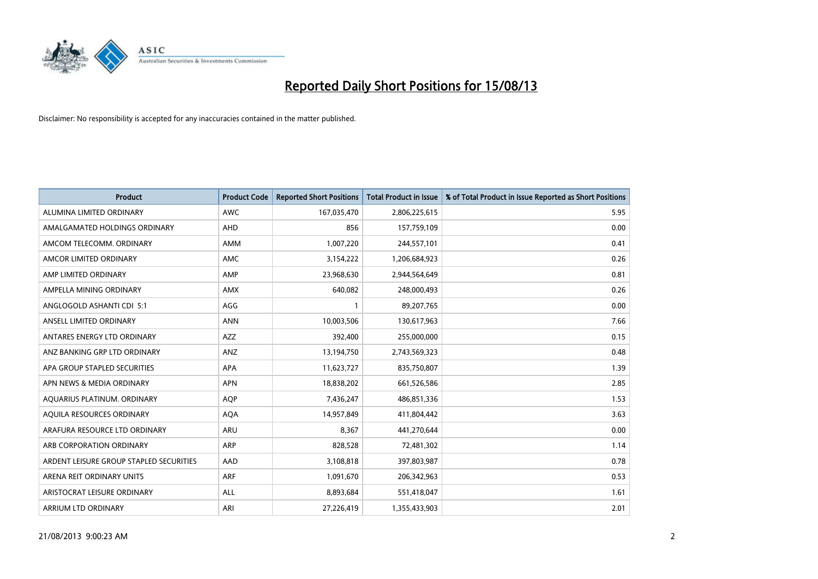

| <b>Product</b>                          | <b>Product Code</b> | <b>Reported Short Positions</b> | <b>Total Product in Issue</b> | % of Total Product in Issue Reported as Short Positions |
|-----------------------------------------|---------------------|---------------------------------|-------------------------------|---------------------------------------------------------|
| ALUMINA LIMITED ORDINARY                | <b>AWC</b>          | 167,035,470                     | 2,806,225,615                 | 5.95                                                    |
| AMALGAMATED HOLDINGS ORDINARY           | AHD                 | 856                             | 157,759,109                   | 0.00                                                    |
| AMCOM TELECOMM, ORDINARY                | AMM                 | 1,007,220                       | 244,557,101                   | 0.41                                                    |
| AMCOR LIMITED ORDINARY                  | AMC                 | 3,154,222                       | 1,206,684,923                 | 0.26                                                    |
| AMP LIMITED ORDINARY                    | AMP                 | 23,968,630                      | 2,944,564,649                 | 0.81                                                    |
| AMPELLA MINING ORDINARY                 | AMX                 | 640,082                         | 248,000,493                   | 0.26                                                    |
| ANGLOGOLD ASHANTI CDI 5:1               | AGG                 |                                 | 89,207,765                    | 0.00                                                    |
| ANSELL LIMITED ORDINARY                 | <b>ANN</b>          | 10,003,506                      | 130,617,963                   | 7.66                                                    |
| ANTARES ENERGY LTD ORDINARY             | <b>AZZ</b>          | 392,400                         | 255,000,000                   | 0.15                                                    |
| ANZ BANKING GRP LTD ORDINARY            | ANZ                 | 13,194,750                      | 2,743,569,323                 | 0.48                                                    |
| APA GROUP STAPLED SECURITIES            | APA                 | 11,623,727                      | 835,750,807                   | 1.39                                                    |
| APN NEWS & MEDIA ORDINARY               | <b>APN</b>          | 18,838,202                      | 661,526,586                   | 2.85                                                    |
| AQUARIUS PLATINUM. ORDINARY             | <b>AOP</b>          | 7,436,247                       | 486,851,336                   | 1.53                                                    |
| AOUILA RESOURCES ORDINARY               | <b>AQA</b>          | 14,957,849                      | 411,804,442                   | 3.63                                                    |
| ARAFURA RESOURCE LTD ORDINARY           | ARU                 | 8,367                           | 441,270,644                   | 0.00                                                    |
| ARB CORPORATION ORDINARY                | <b>ARP</b>          | 828,528                         | 72,481,302                    | 1.14                                                    |
| ARDENT LEISURE GROUP STAPLED SECURITIES | AAD                 | 3,108,818                       | 397,803,987                   | 0.78                                                    |
| ARENA REIT ORDINARY UNITS               | <b>ARF</b>          | 1,091,670                       | 206,342,963                   | 0.53                                                    |
| ARISTOCRAT LEISURE ORDINARY             | ALL                 | 8,893,684                       | 551,418,047                   | 1.61                                                    |
| <b>ARRIUM LTD ORDINARY</b>              | ARI                 | 27,226,419                      | 1,355,433,903                 | 2.01                                                    |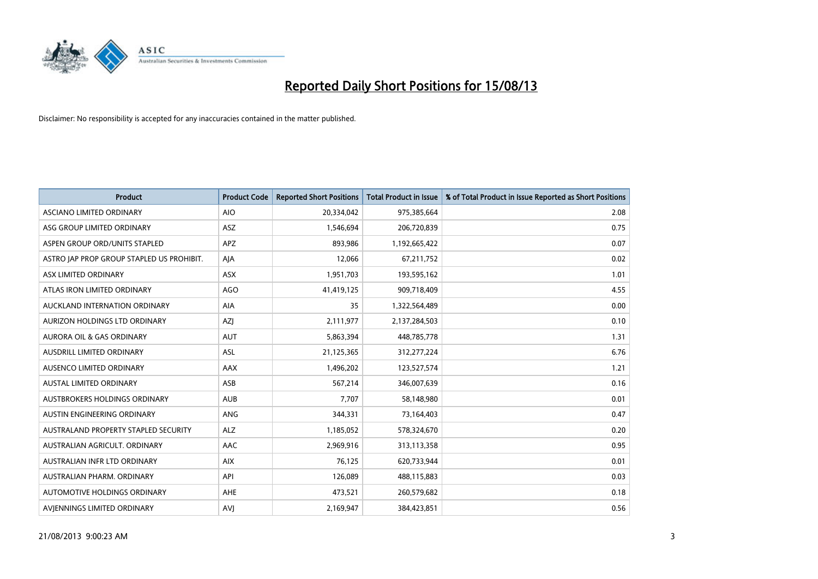

| <b>Product</b>                            | <b>Product Code</b> | <b>Reported Short Positions</b> | <b>Total Product in Issue</b> | % of Total Product in Issue Reported as Short Positions |
|-------------------------------------------|---------------------|---------------------------------|-------------------------------|---------------------------------------------------------|
| <b>ASCIANO LIMITED ORDINARY</b>           | <b>AIO</b>          | 20,334,042                      | 975,385,664                   | 2.08                                                    |
| ASG GROUP LIMITED ORDINARY                | ASZ                 | 1,546,694                       | 206,720,839                   | 0.75                                                    |
| ASPEN GROUP ORD/UNITS STAPLED             | APZ                 | 893,986                         | 1,192,665,422                 | 0.07                                                    |
| ASTRO JAP PROP GROUP STAPLED US PROHIBIT. | AJA                 | 12,066                          | 67,211,752                    | 0.02                                                    |
| ASX LIMITED ORDINARY                      | ASX                 | 1,951,703                       | 193,595,162                   | 1.01                                                    |
| ATLAS IRON LIMITED ORDINARY               | <b>AGO</b>          | 41,419,125                      | 909,718,409                   | 4.55                                                    |
| AUCKLAND INTERNATION ORDINARY             | AIA                 | 35                              | 1,322,564,489                 | 0.00                                                    |
| AURIZON HOLDINGS LTD ORDINARY             | AZJ                 | 2,111,977                       | 2,137,284,503                 | 0.10                                                    |
| <b>AURORA OIL &amp; GAS ORDINARY</b>      | <b>AUT</b>          | 5,863,394                       | 448,785,778                   | 1.31                                                    |
| <b>AUSDRILL LIMITED ORDINARY</b>          | <b>ASL</b>          | 21,125,365                      | 312,277,224                   | 6.76                                                    |
| AUSENCO LIMITED ORDINARY                  | AAX                 | 1,496,202                       | 123,527,574                   | 1.21                                                    |
| <b>AUSTAL LIMITED ORDINARY</b>            | ASB                 | 567,214                         | 346,007,639                   | 0.16                                                    |
| AUSTBROKERS HOLDINGS ORDINARY             | <b>AUB</b>          | 7,707                           | 58,148,980                    | 0.01                                                    |
| AUSTIN ENGINEERING ORDINARY               | ANG                 | 344,331                         | 73,164,403                    | 0.47                                                    |
| AUSTRALAND PROPERTY STAPLED SECURITY      | <b>ALZ</b>          | 1,185,052                       | 578,324,670                   | 0.20                                                    |
| AUSTRALIAN AGRICULT, ORDINARY             | AAC                 | 2,969,916                       | 313,113,358                   | 0.95                                                    |
| AUSTRALIAN INFR LTD ORDINARY              | <b>AIX</b>          | 76,125                          | 620,733,944                   | 0.01                                                    |
| AUSTRALIAN PHARM. ORDINARY                | API                 | 126,089                         | 488,115,883                   | 0.03                                                    |
| <b>AUTOMOTIVE HOLDINGS ORDINARY</b>       | AHE                 | 473,521                         | 260,579,682                   | 0.18                                                    |
| AVJENNINGS LIMITED ORDINARY               | <b>AVJ</b>          | 2,169,947                       | 384,423,851                   | 0.56                                                    |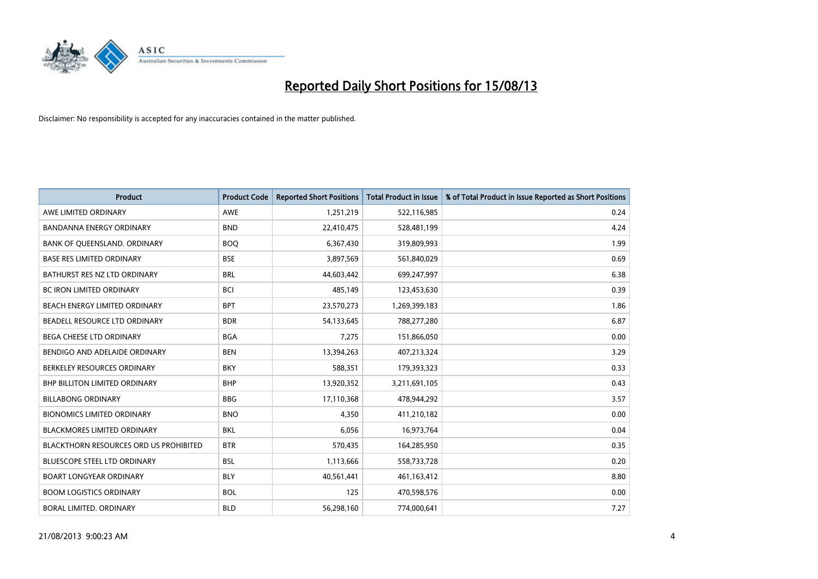

| <b>Product</b>                                | <b>Product Code</b> | <b>Reported Short Positions</b> | <b>Total Product in Issue</b> | % of Total Product in Issue Reported as Short Positions |
|-----------------------------------------------|---------------------|---------------------------------|-------------------------------|---------------------------------------------------------|
| AWE LIMITED ORDINARY                          | AWE                 | 1,251,219                       | 522,116,985                   | 0.24                                                    |
| <b>BANDANNA ENERGY ORDINARY</b>               | <b>BND</b>          | 22,410,475                      | 528,481,199                   | 4.24                                                    |
| BANK OF QUEENSLAND. ORDINARY                  | <b>BOQ</b>          | 6,367,430                       | 319,809,993                   | 1.99                                                    |
| <b>BASE RES LIMITED ORDINARY</b>              | <b>BSE</b>          | 3,897,569                       | 561,840,029                   | 0.69                                                    |
| BATHURST RES NZ LTD ORDINARY                  | <b>BRL</b>          | 44,603,442                      | 699,247,997                   | 6.38                                                    |
| <b>BC IRON LIMITED ORDINARY</b>               | <b>BCI</b>          | 485,149                         | 123,453,630                   | 0.39                                                    |
| BEACH ENERGY LIMITED ORDINARY                 | <b>BPT</b>          | 23,570,273                      | 1,269,399,183                 | 1.86                                                    |
| BEADELL RESOURCE LTD ORDINARY                 | <b>BDR</b>          | 54,133,645                      | 788,277,280                   | 6.87                                                    |
| BEGA CHEESE LTD ORDINARY                      | <b>BGA</b>          | 7,275                           | 151,866,050                   | 0.00                                                    |
| BENDIGO AND ADELAIDE ORDINARY                 | <b>BEN</b>          | 13,394,263                      | 407,213,324                   | 3.29                                                    |
| BERKELEY RESOURCES ORDINARY                   | <b>BKY</b>          | 588,351                         | 179,393,323                   | 0.33                                                    |
| <b>BHP BILLITON LIMITED ORDINARY</b>          | <b>BHP</b>          | 13,920,352                      | 3,211,691,105                 | 0.43                                                    |
| <b>BILLABONG ORDINARY</b>                     | <b>BBG</b>          | 17,110,368                      | 478,944,292                   | 3.57                                                    |
| <b>BIONOMICS LIMITED ORDINARY</b>             | <b>BNO</b>          | 4,350                           | 411,210,182                   | 0.00                                                    |
| BLACKMORES LIMITED ORDINARY                   | <b>BKL</b>          | 6,056                           | 16,973,764                    | 0.04                                                    |
| <b>BLACKTHORN RESOURCES ORD US PROHIBITED</b> | <b>BTR</b>          | 570,435                         | 164,285,950                   | 0.35                                                    |
| <b>BLUESCOPE STEEL LTD ORDINARY</b>           | <b>BSL</b>          | 1,113,666                       | 558,733,728                   | 0.20                                                    |
| <b>BOART LONGYEAR ORDINARY</b>                | <b>BLY</b>          | 40,561,441                      | 461,163,412                   | 8.80                                                    |
| <b>BOOM LOGISTICS ORDINARY</b>                | <b>BOL</b>          | 125                             | 470,598,576                   | 0.00                                                    |
| <b>BORAL LIMITED, ORDINARY</b>                | <b>BLD</b>          | 56,298,160                      | 774,000,641                   | 7.27                                                    |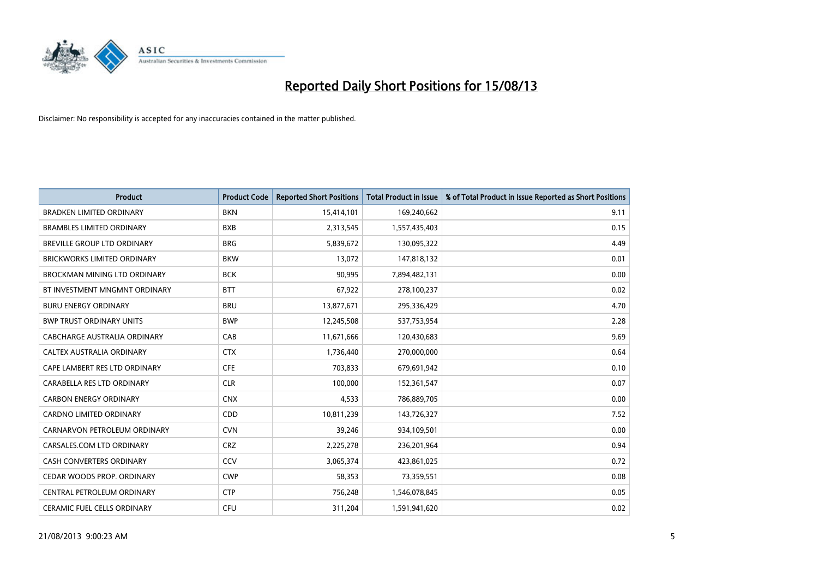

| <b>Product</b>                      | <b>Product Code</b> | <b>Reported Short Positions</b> | <b>Total Product in Issue</b> | % of Total Product in Issue Reported as Short Positions |
|-------------------------------------|---------------------|---------------------------------|-------------------------------|---------------------------------------------------------|
| <b>BRADKEN LIMITED ORDINARY</b>     | <b>BKN</b>          | 15,414,101                      | 169,240,662                   | 9.11                                                    |
| <b>BRAMBLES LIMITED ORDINARY</b>    | <b>BXB</b>          | 2,313,545                       | 1,557,435,403                 | 0.15                                                    |
| BREVILLE GROUP LTD ORDINARY         | <b>BRG</b>          | 5,839,672                       | 130,095,322                   | 4.49                                                    |
| BRICKWORKS LIMITED ORDINARY         | <b>BKW</b>          | 13,072                          | 147,818,132                   | 0.01                                                    |
| <b>BROCKMAN MINING LTD ORDINARY</b> | <b>BCK</b>          | 90,995                          | 7,894,482,131                 | 0.00                                                    |
| BT INVESTMENT MNGMNT ORDINARY       | <b>BTT</b>          | 67,922                          | 278,100,237                   | 0.02                                                    |
| <b>BURU ENERGY ORDINARY</b>         | <b>BRU</b>          | 13,877,671                      | 295,336,429                   | 4.70                                                    |
| <b>BWP TRUST ORDINARY UNITS</b>     | <b>BWP</b>          | 12,245,508                      | 537,753,954                   | 2.28                                                    |
| CABCHARGE AUSTRALIA ORDINARY        | CAB                 | 11,671,666                      | 120,430,683                   | 9.69                                                    |
| CALTEX AUSTRALIA ORDINARY           | <b>CTX</b>          | 1,736,440                       | 270,000,000                   | 0.64                                                    |
| CAPE LAMBERT RES LTD ORDINARY       | <b>CFE</b>          | 703,833                         | 679,691,942                   | 0.10                                                    |
| CARABELLA RES LTD ORDINARY          | <b>CLR</b>          | 100,000                         | 152,361,547                   | 0.07                                                    |
| <b>CARBON ENERGY ORDINARY</b>       | <b>CNX</b>          | 4,533                           | 786,889,705                   | 0.00                                                    |
| <b>CARDNO LIMITED ORDINARY</b>      | CDD                 | 10,811,239                      | 143,726,327                   | 7.52                                                    |
| CARNARVON PETROLEUM ORDINARY        | <b>CVN</b>          | 39,246                          | 934,109,501                   | 0.00                                                    |
| CARSALES.COM LTD ORDINARY           | <b>CRZ</b>          | 2,225,278                       | 236,201,964                   | 0.94                                                    |
| <b>CASH CONVERTERS ORDINARY</b>     | CCV                 | 3,065,374                       | 423,861,025                   | 0.72                                                    |
| CEDAR WOODS PROP. ORDINARY          | <b>CWP</b>          | 58,353                          | 73,359,551                    | 0.08                                                    |
| CENTRAL PETROLEUM ORDINARY          | <b>CTP</b>          | 756,248                         | 1,546,078,845                 | 0.05                                                    |
| <b>CERAMIC FUEL CELLS ORDINARY</b>  | <b>CFU</b>          | 311,204                         | 1,591,941,620                 | 0.02                                                    |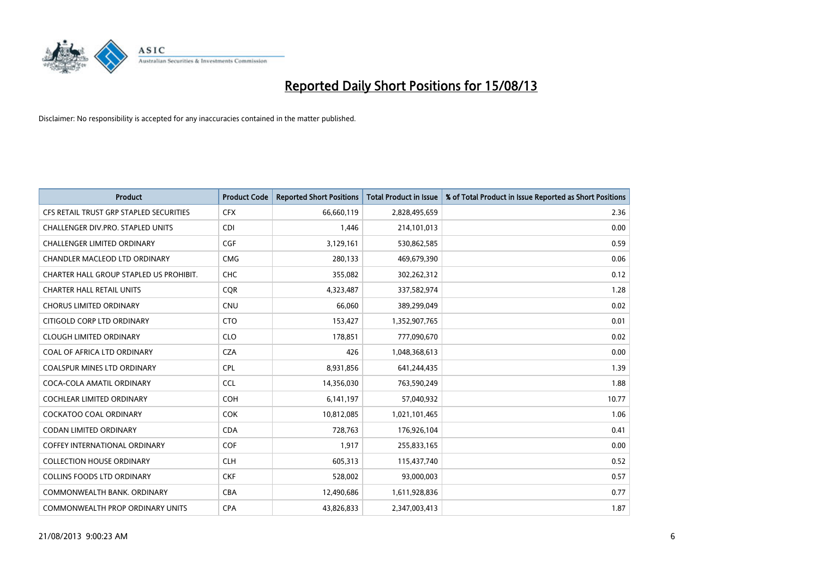

| <b>Product</b>                          | <b>Product Code</b> | <b>Reported Short Positions</b> | <b>Total Product in Issue</b> | % of Total Product in Issue Reported as Short Positions |
|-----------------------------------------|---------------------|---------------------------------|-------------------------------|---------------------------------------------------------|
| CFS RETAIL TRUST GRP STAPLED SECURITIES | <b>CFX</b>          | 66,660,119                      | 2,828,495,659                 | 2.36                                                    |
| CHALLENGER DIV.PRO. STAPLED UNITS       | <b>CDI</b>          | 1.446                           | 214,101,013                   | 0.00                                                    |
| <b>CHALLENGER LIMITED ORDINARY</b>      | <b>CGF</b>          | 3,129,161                       | 530,862,585                   | 0.59                                                    |
| CHANDLER MACLEOD LTD ORDINARY           | <b>CMG</b>          | 280,133                         | 469,679,390                   | 0.06                                                    |
| CHARTER HALL GROUP STAPLED US PROHIBIT. | <b>CHC</b>          | 355,082                         | 302,262,312                   | 0.12                                                    |
| <b>CHARTER HALL RETAIL UNITS</b>        | CQR                 | 4,323,487                       | 337,582,974                   | 1.28                                                    |
| <b>CHORUS LIMITED ORDINARY</b>          | <b>CNU</b>          | 66.060                          | 389,299,049                   | 0.02                                                    |
| CITIGOLD CORP LTD ORDINARY              | <b>CTO</b>          | 153,427                         | 1,352,907,765                 | 0.01                                                    |
| <b>CLOUGH LIMITED ORDINARY</b>          | <b>CLO</b>          | 178,851                         | 777,090,670                   | 0.02                                                    |
| COAL OF AFRICA LTD ORDINARY             | <b>CZA</b>          | 426                             | 1,048,368,613                 | 0.00                                                    |
| <b>COALSPUR MINES LTD ORDINARY</b>      | <b>CPL</b>          | 8,931,856                       | 641,244,435                   | 1.39                                                    |
| COCA-COLA AMATIL ORDINARY               | <b>CCL</b>          | 14,356,030                      | 763,590,249                   | 1.88                                                    |
| <b>COCHLEAR LIMITED ORDINARY</b>        | <b>COH</b>          | 6,141,197                       | 57,040,932                    | 10.77                                                   |
| <b>COCKATOO COAL ORDINARY</b>           | COK                 | 10,812,085                      | 1,021,101,465                 | 1.06                                                    |
| CODAN LIMITED ORDINARY                  | <b>CDA</b>          | 728,763                         | 176,926,104                   | 0.41                                                    |
| <b>COFFEY INTERNATIONAL ORDINARY</b>    | <b>COF</b>          | 1,917                           | 255,833,165                   | 0.00                                                    |
| <b>COLLECTION HOUSE ORDINARY</b>        | <b>CLH</b>          | 605,313                         | 115,437,740                   | 0.52                                                    |
| <b>COLLINS FOODS LTD ORDINARY</b>       | <b>CKF</b>          | 528,002                         | 93,000,003                    | 0.57                                                    |
| COMMONWEALTH BANK, ORDINARY             | <b>CBA</b>          | 12,490,686                      | 1,611,928,836                 | 0.77                                                    |
| COMMONWEALTH PROP ORDINARY UNITS        | <b>CPA</b>          | 43.826.833                      | 2,347,003,413                 | 1.87                                                    |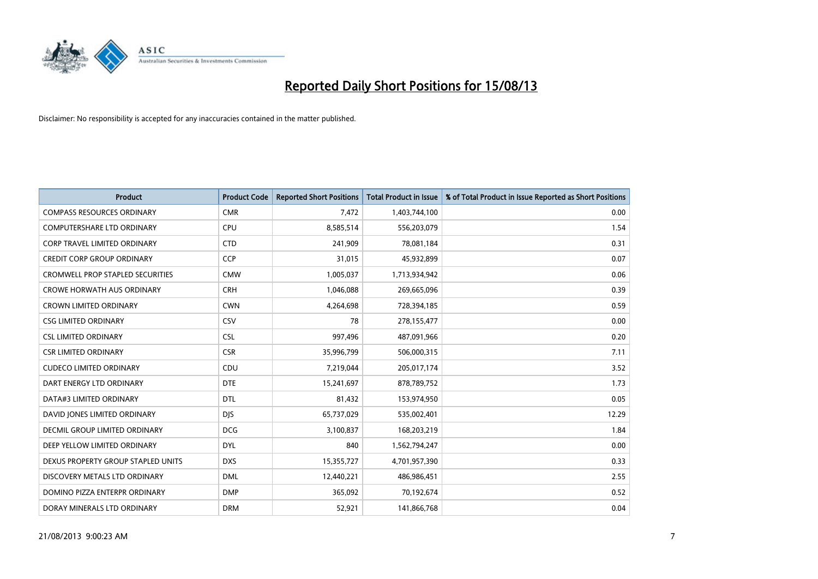

| <b>Product</b>                          | <b>Product Code</b> | <b>Reported Short Positions</b> | Total Product in Issue | % of Total Product in Issue Reported as Short Positions |
|-----------------------------------------|---------------------|---------------------------------|------------------------|---------------------------------------------------------|
| <b>COMPASS RESOURCES ORDINARY</b>       | <b>CMR</b>          | 7,472                           | 1,403,744,100          | 0.00                                                    |
| COMPUTERSHARE LTD ORDINARY              | <b>CPU</b>          | 8,585,514                       | 556,203,079            | 1.54                                                    |
| CORP TRAVEL LIMITED ORDINARY            | <b>CTD</b>          | 241,909                         | 78,081,184             | 0.31                                                    |
| <b>CREDIT CORP GROUP ORDINARY</b>       | <b>CCP</b>          | 31,015                          | 45,932,899             | 0.07                                                    |
| <b>CROMWELL PROP STAPLED SECURITIES</b> | <b>CMW</b>          | 1,005,037                       | 1,713,934,942          | 0.06                                                    |
| <b>CROWE HORWATH AUS ORDINARY</b>       | <b>CRH</b>          | 1,046,088                       | 269,665,096            | 0.39                                                    |
| <b>CROWN LIMITED ORDINARY</b>           | <b>CWN</b>          | 4,264,698                       | 728,394,185            | 0.59                                                    |
| <b>CSG LIMITED ORDINARY</b>             | CSV                 | 78                              | 278,155,477            | 0.00                                                    |
| <b>CSL LIMITED ORDINARY</b>             | <b>CSL</b>          | 997,496                         | 487,091,966            | 0.20                                                    |
| <b>CSR LIMITED ORDINARY</b>             | <b>CSR</b>          | 35,996,799                      | 506,000,315            | 7.11                                                    |
| <b>CUDECO LIMITED ORDINARY</b>          | CDU                 | 7,219,044                       | 205,017,174            | 3.52                                                    |
| DART ENERGY LTD ORDINARY                | <b>DTE</b>          | 15,241,697                      | 878,789,752            | 1.73                                                    |
| DATA#3 LIMITED ORDINARY                 | <b>DTL</b>          | 81,432                          | 153,974,950            | 0.05                                                    |
| DAVID JONES LIMITED ORDINARY            | <b>DJS</b>          | 65,737,029                      | 535,002,401            | 12.29                                                   |
| DECMIL GROUP LIMITED ORDINARY           | <b>DCG</b>          | 3,100,837                       | 168,203,219            | 1.84                                                    |
| DEEP YELLOW LIMITED ORDINARY            | <b>DYL</b>          | 840                             | 1,562,794,247          | 0.00                                                    |
| DEXUS PROPERTY GROUP STAPLED UNITS      | <b>DXS</b>          | 15,355,727                      | 4,701,957,390          | 0.33                                                    |
| DISCOVERY METALS LTD ORDINARY           | <b>DML</b>          | 12,440,221                      | 486,986,451            | 2.55                                                    |
| DOMINO PIZZA ENTERPR ORDINARY           | <b>DMP</b>          | 365,092                         | 70,192,674             | 0.52                                                    |
| DORAY MINERALS LTD ORDINARY             | <b>DRM</b>          | 52,921                          | 141,866,768            | 0.04                                                    |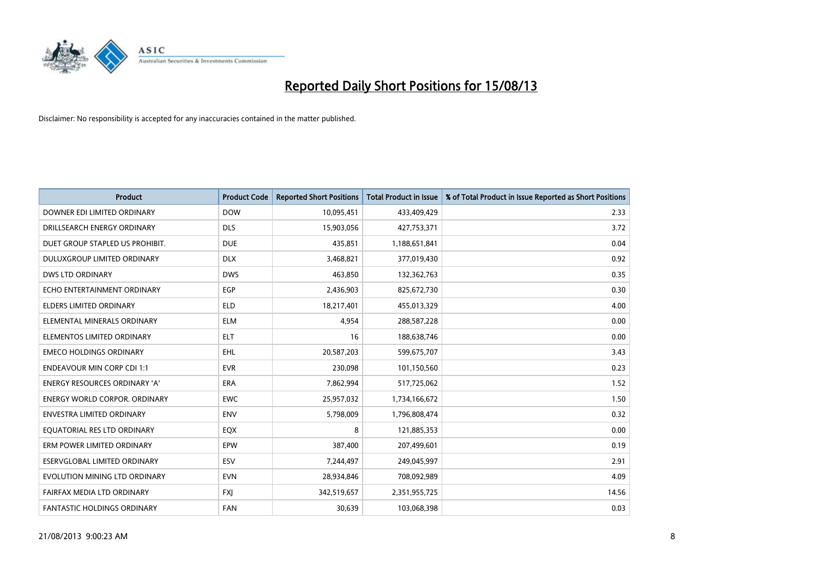

| <b>Product</b>                      | <b>Product Code</b> | <b>Reported Short Positions</b> | <b>Total Product in Issue</b> | % of Total Product in Issue Reported as Short Positions |
|-------------------------------------|---------------------|---------------------------------|-------------------------------|---------------------------------------------------------|
| DOWNER EDI LIMITED ORDINARY         | <b>DOW</b>          | 10,095,451                      | 433,409,429                   | 2.33                                                    |
| DRILLSEARCH ENERGY ORDINARY         | <b>DLS</b>          | 15,903,056                      | 427,753,371                   | 3.72                                                    |
| DUET GROUP STAPLED US PROHIBIT.     | <b>DUE</b>          | 435,851                         | 1,188,651,841                 | 0.04                                                    |
| DULUXGROUP LIMITED ORDINARY         | <b>DLX</b>          | 3,468,821                       | 377,019,430                   | 0.92                                                    |
| <b>DWS LTD ORDINARY</b>             | <b>DWS</b>          | 463,850                         | 132,362,763                   | 0.35                                                    |
| ECHO ENTERTAINMENT ORDINARY         | EGP                 | 2,436,903                       | 825,672,730                   | 0.30                                                    |
| ELDERS LIMITED ORDINARY             | <b>ELD</b>          | 18,217,401                      | 455,013,329                   | 4.00                                                    |
| ELEMENTAL MINERALS ORDINARY         | <b>ELM</b>          | 4,954                           | 288,587,228                   | 0.00                                                    |
| ELEMENTOS LIMITED ORDINARY          | <b>ELT</b>          | 16                              | 188,638,746                   | 0.00                                                    |
| <b>EMECO HOLDINGS ORDINARY</b>      | <b>EHL</b>          | 20,587,203                      | 599,675,707                   | 3.43                                                    |
| <b>ENDEAVOUR MIN CORP CDI 1:1</b>   | <b>EVR</b>          | 230,098                         | 101,150,560                   | 0.23                                                    |
| ENERGY RESOURCES ORDINARY 'A'       | <b>ERA</b>          | 7,862,994                       | 517,725,062                   | 1.52                                                    |
| ENERGY WORLD CORPOR. ORDINARY       | <b>EWC</b>          | 25,957,032                      | 1,734,166,672                 | 1.50                                                    |
| <b>ENVESTRA LIMITED ORDINARY</b>    | <b>ENV</b>          | 5,798,009                       | 1,796,808,474                 | 0.32                                                    |
| EQUATORIAL RES LTD ORDINARY         | EQX                 | 8                               | 121,885,353                   | 0.00                                                    |
| ERM POWER LIMITED ORDINARY          | EPW                 | 387,400                         | 207,499,601                   | 0.19                                                    |
| <b>ESERVGLOBAL LIMITED ORDINARY</b> | ESV                 | 7,244,497                       | 249,045,997                   | 2.91                                                    |
| EVOLUTION MINING LTD ORDINARY       | <b>EVN</b>          | 28,934,846                      | 708,092,989                   | 4.09                                                    |
| FAIRFAX MEDIA LTD ORDINARY          | <b>FXI</b>          | 342,519,657                     | 2,351,955,725                 | 14.56                                                   |
| <b>FANTASTIC HOLDINGS ORDINARY</b>  | <b>FAN</b>          | 30,639                          | 103,068,398                   | 0.03                                                    |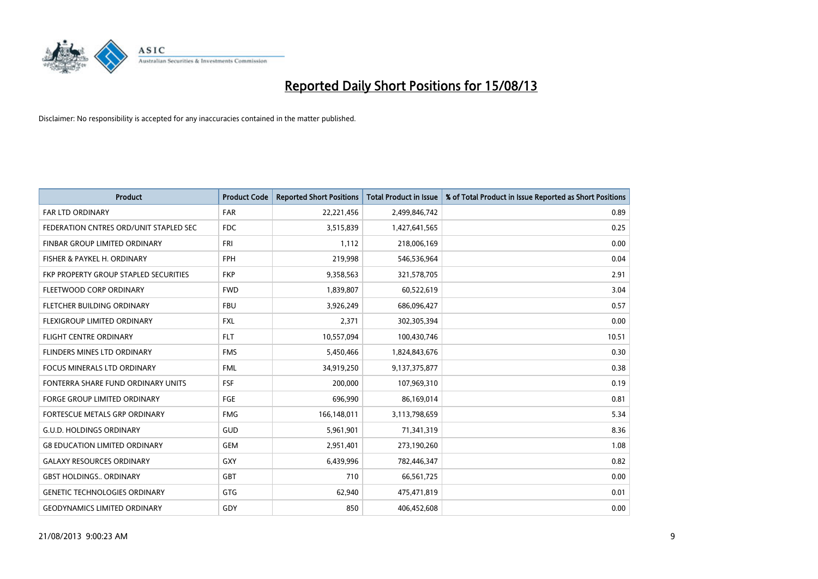

| <b>Product</b>                         | <b>Product Code</b> | <b>Reported Short Positions</b> | <b>Total Product in Issue</b> | % of Total Product in Issue Reported as Short Positions |
|----------------------------------------|---------------------|---------------------------------|-------------------------------|---------------------------------------------------------|
| <b>FAR LTD ORDINARY</b>                | <b>FAR</b>          | 22,221,456                      | 2,499,846,742                 | 0.89                                                    |
| FEDERATION CNTRES ORD/UNIT STAPLED SEC | FDC                 | 3,515,839                       | 1,427,641,565                 | 0.25                                                    |
| <b>FINBAR GROUP LIMITED ORDINARY</b>   | <b>FRI</b>          | 1,112                           | 218,006,169                   | 0.00                                                    |
| FISHER & PAYKEL H. ORDINARY            | <b>FPH</b>          | 219,998                         | 546,536,964                   | 0.04                                                    |
| FKP PROPERTY GROUP STAPLED SECURITIES  | <b>FKP</b>          | 9,358,563                       | 321,578,705                   | 2.91                                                    |
| FLEETWOOD CORP ORDINARY                | <b>FWD</b>          | 1,839,807                       | 60,522,619                    | 3.04                                                    |
| FLETCHER BUILDING ORDINARY             | <b>FBU</b>          | 3,926,249                       | 686,096,427                   | 0.57                                                    |
| FLEXIGROUP LIMITED ORDINARY            | FXL                 | 2,371                           | 302,305,394                   | 0.00                                                    |
| <b>FLIGHT CENTRE ORDINARY</b>          | <b>FLT</b>          | 10,557,094                      | 100,430,746                   | 10.51                                                   |
| FLINDERS MINES LTD ORDINARY            | <b>FMS</b>          | 5,450,466                       | 1,824,843,676                 | 0.30                                                    |
| FOCUS MINERALS LTD ORDINARY            | <b>FML</b>          | 34,919,250                      | 9,137,375,877                 | 0.38                                                    |
| FONTERRA SHARE FUND ORDINARY UNITS     | <b>FSF</b>          | 200,000                         | 107,969,310                   | 0.19                                                    |
| FORGE GROUP LIMITED ORDINARY           | FGE                 | 696,990                         | 86,169,014                    | 0.81                                                    |
| FORTESCUE METALS GRP ORDINARY          | <b>FMG</b>          | 166,148,011                     | 3,113,798,659                 | 5.34                                                    |
| <b>G.U.D. HOLDINGS ORDINARY</b>        | GUD                 | 5,961,901                       | 71,341,319                    | 8.36                                                    |
| <b>G8 EDUCATION LIMITED ORDINARY</b>   | <b>GEM</b>          | 2,951,401                       | 273,190,260                   | 1.08                                                    |
| <b>GALAXY RESOURCES ORDINARY</b>       | GXY                 | 6,439,996                       | 782,446,347                   | 0.82                                                    |
| <b>GBST HOLDINGS., ORDINARY</b>        | GBT                 | 710                             | 66,561,725                    | 0.00                                                    |
| <b>GENETIC TECHNOLOGIES ORDINARY</b>   | GTG                 | 62,940                          | 475,471,819                   | 0.01                                                    |
| <b>GEODYNAMICS LIMITED ORDINARY</b>    | GDY                 | 850                             | 406,452,608                   | 0.00                                                    |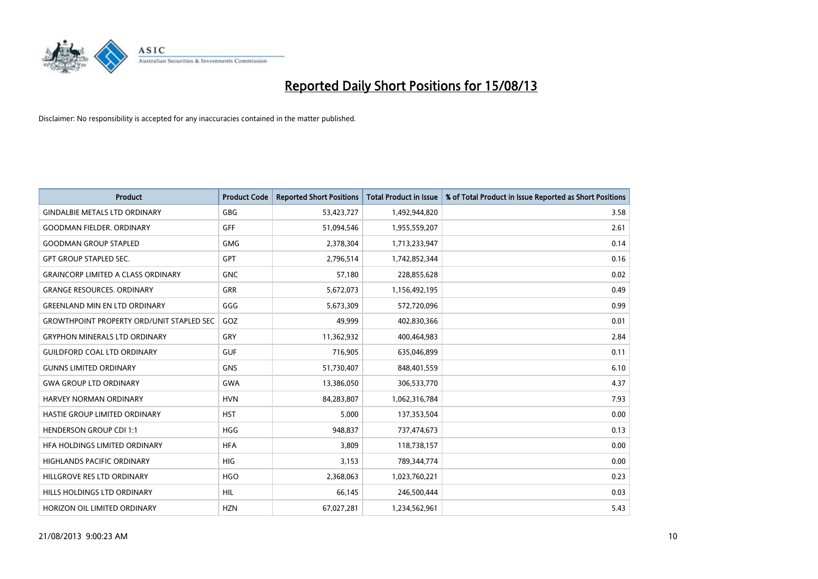

| <b>Product</b>                                   | <b>Product Code</b> | <b>Reported Short Positions</b> | <b>Total Product in Issue</b> | % of Total Product in Issue Reported as Short Positions |
|--------------------------------------------------|---------------------|---------------------------------|-------------------------------|---------------------------------------------------------|
| <b>GINDALBIE METALS LTD ORDINARY</b>             | GBG                 | 53,423,727                      | 1,492,944,820                 | 3.58                                                    |
| <b>GOODMAN FIELDER, ORDINARY</b>                 | GFF                 | 51,094,546                      | 1,955,559,207                 | 2.61                                                    |
| <b>GOODMAN GROUP STAPLED</b>                     | <b>GMG</b>          | 2,378,304                       | 1,713,233,947                 | 0.14                                                    |
| <b>GPT GROUP STAPLED SEC.</b>                    | GPT                 | 2,796,514                       | 1,742,852,344                 | 0.16                                                    |
| <b>GRAINCORP LIMITED A CLASS ORDINARY</b>        | <b>GNC</b>          | 57,180                          | 228,855,628                   | 0.02                                                    |
| <b>GRANGE RESOURCES, ORDINARY</b>                | <b>GRR</b>          | 5,672,073                       | 1,156,492,195                 | 0.49                                                    |
| <b>GREENLAND MIN EN LTD ORDINARY</b>             | GGG                 | 5,673,309                       | 572,720,096                   | 0.99                                                    |
| <b>GROWTHPOINT PROPERTY ORD/UNIT STAPLED SEC</b> | GOZ                 | 49,999                          | 402,830,366                   | 0.01                                                    |
| <b>GRYPHON MINERALS LTD ORDINARY</b>             | GRY                 | 11,362,932                      | 400,464,983                   | 2.84                                                    |
| <b>GUILDFORD COAL LTD ORDINARY</b>               | <b>GUF</b>          | 716,905                         | 635,046,899                   | 0.11                                                    |
| <b>GUNNS LIMITED ORDINARY</b>                    | <b>GNS</b>          | 51,730,407                      | 848,401,559                   | 6.10                                                    |
| <b>GWA GROUP LTD ORDINARY</b>                    | <b>GWA</b>          | 13,386,050                      | 306,533,770                   | 4.37                                                    |
| HARVEY NORMAN ORDINARY                           | <b>HVN</b>          | 84,283,807                      | 1,062,316,784                 | 7.93                                                    |
| HASTIE GROUP LIMITED ORDINARY                    | <b>HST</b>          | 5,000                           | 137,353,504                   | 0.00                                                    |
| <b>HENDERSON GROUP CDI 1:1</b>                   | <b>HGG</b>          | 948,837                         | 737,474,673                   | 0.13                                                    |
| HFA HOLDINGS LIMITED ORDINARY                    | <b>HFA</b>          | 3,809                           | 118,738,157                   | 0.00                                                    |
| HIGHLANDS PACIFIC ORDINARY                       | <b>HIG</b>          | 3,153                           | 789,344,774                   | 0.00                                                    |
| HILLGROVE RES LTD ORDINARY                       | <b>HGO</b>          | 2,368,063                       | 1,023,760,221                 | 0.23                                                    |
| HILLS HOLDINGS LTD ORDINARY                      | <b>HIL</b>          | 66,145                          | 246,500,444                   | 0.03                                                    |
| HORIZON OIL LIMITED ORDINARY                     | <b>HZN</b>          | 67,027,281                      | 1,234,562,961                 | 5.43                                                    |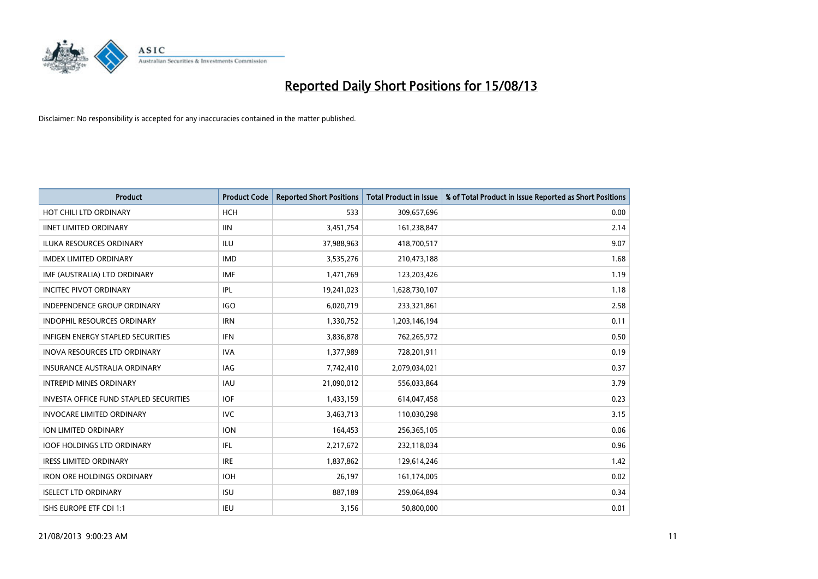

| <b>Product</b>                                | <b>Product Code</b> | <b>Reported Short Positions</b> | Total Product in Issue | % of Total Product in Issue Reported as Short Positions |
|-----------------------------------------------|---------------------|---------------------------------|------------------------|---------------------------------------------------------|
| HOT CHILI LTD ORDINARY                        | <b>HCH</b>          | 533                             | 309,657,696            | 0.00                                                    |
| <b>IINET LIMITED ORDINARY</b>                 | <b>IIN</b>          | 3,451,754                       | 161,238,847            | 2.14                                                    |
| <b>ILUKA RESOURCES ORDINARY</b>               | ILU                 | 37,988,963                      | 418,700,517            | 9.07                                                    |
| <b>IMDEX LIMITED ORDINARY</b>                 | <b>IMD</b>          | 3,535,276                       | 210,473,188            | 1.68                                                    |
| IMF (AUSTRALIA) LTD ORDINARY                  | <b>IMF</b>          | 1,471,769                       | 123,203,426            | 1.19                                                    |
| <b>INCITEC PIVOT ORDINARY</b>                 | <b>IPL</b>          | 19,241,023                      | 1,628,730,107          | 1.18                                                    |
| INDEPENDENCE GROUP ORDINARY                   | <b>IGO</b>          | 6,020,719                       | 233,321,861            | 2.58                                                    |
| <b>INDOPHIL RESOURCES ORDINARY</b>            | <b>IRN</b>          | 1,330,752                       | 1,203,146,194          | 0.11                                                    |
| <b>INFIGEN ENERGY STAPLED SECURITIES</b>      | <b>IFN</b>          | 3,836,878                       | 762,265,972            | 0.50                                                    |
| <b>INOVA RESOURCES LTD ORDINARY</b>           | <b>IVA</b>          | 1,377,989                       | 728,201,911            | 0.19                                                    |
| <b>INSURANCE AUSTRALIA ORDINARY</b>           | <b>IAG</b>          | 7,742,410                       | 2,079,034,021          | 0.37                                                    |
| <b>INTREPID MINES ORDINARY</b>                | <b>IAU</b>          | 21,090,012                      | 556,033,864            | 3.79                                                    |
| <b>INVESTA OFFICE FUND STAPLED SECURITIES</b> | <b>IOF</b>          | 1,433,159                       | 614,047,458            | 0.23                                                    |
| <b>INVOCARE LIMITED ORDINARY</b>              | <b>IVC</b>          | 3,463,713                       | 110,030,298            | 3.15                                                    |
| <b>ION LIMITED ORDINARY</b>                   | <b>ION</b>          | 164,453                         | 256,365,105            | 0.06                                                    |
| <b>IOOF HOLDINGS LTD ORDINARY</b>             | IFL                 | 2,217,672                       | 232,118,034            | 0.96                                                    |
| <b>IRESS LIMITED ORDINARY</b>                 | <b>IRE</b>          | 1,837,862                       | 129,614,246            | 1.42                                                    |
| <b>IRON ORE HOLDINGS ORDINARY</b>             | <b>IOH</b>          | 26,197                          | 161,174,005            | 0.02                                                    |
| <b>ISELECT LTD ORDINARY</b>                   | <b>ISU</b>          | 887,189                         | 259,064,894            | 0.34                                                    |
| ISHS EUROPE ETF CDI 1:1                       | <b>IEU</b>          | 3,156                           | 50,800,000             | 0.01                                                    |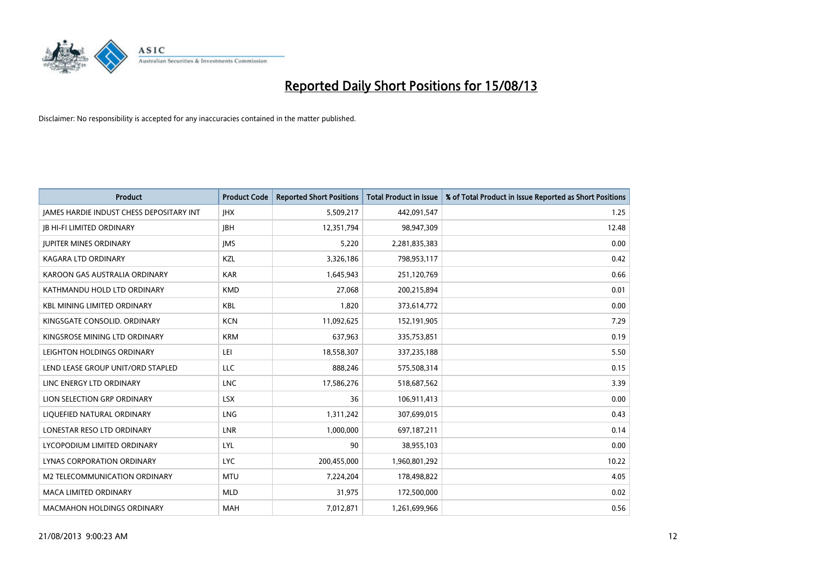

| <b>Product</b>                           | <b>Product Code</b> | <b>Reported Short Positions</b> | <b>Total Product in Issue</b> | % of Total Product in Issue Reported as Short Positions |
|------------------------------------------|---------------------|---------------------------------|-------------------------------|---------------------------------------------------------|
| JAMES HARDIE INDUST CHESS DEPOSITARY INT | <b>IHX</b>          | 5,509,217                       | 442,091,547                   | 1.25                                                    |
| <b>JB HI-FI LIMITED ORDINARY</b>         | <b>JBH</b>          | 12,351,794                      | 98,947,309                    | 12.48                                                   |
| <b>JUPITER MINES ORDINARY</b>            | <b>IMS</b>          | 5,220                           | 2,281,835,383                 | 0.00                                                    |
| <b>KAGARA LTD ORDINARY</b>               | KZL                 | 3,326,186                       | 798,953,117                   | 0.42                                                    |
| KAROON GAS AUSTRALIA ORDINARY            | <b>KAR</b>          | 1,645,943                       | 251,120,769                   | 0.66                                                    |
| KATHMANDU HOLD LTD ORDINARY              | <b>KMD</b>          | 27,068                          | 200,215,894                   | 0.01                                                    |
| <b>KBL MINING LIMITED ORDINARY</b>       | <b>KBL</b>          | 1,820                           | 373,614,772                   | 0.00                                                    |
| KINGSGATE CONSOLID. ORDINARY             | <b>KCN</b>          | 11,092,625                      | 152,191,905                   | 7.29                                                    |
| KINGSROSE MINING LTD ORDINARY            | <b>KRM</b>          | 637,963                         | 335,753,851                   | 0.19                                                    |
| LEIGHTON HOLDINGS ORDINARY               | LEI                 | 18,558,307                      | 337,235,188                   | 5.50                                                    |
| LEND LEASE GROUP UNIT/ORD STAPLED        | LLC                 | 888,246                         | 575,508,314                   | 0.15                                                    |
| LINC ENERGY LTD ORDINARY                 | <b>LNC</b>          | 17,586,276                      | 518,687,562                   | 3.39                                                    |
| LION SELECTION GRP ORDINARY              | <b>LSX</b>          | 36                              | 106,911,413                   | 0.00                                                    |
| LIQUEFIED NATURAL ORDINARY               | LNG                 | 1,311,242                       | 307,699,015                   | 0.43                                                    |
| LONESTAR RESO LTD ORDINARY               | LNR                 | 1,000,000                       | 697,187,211                   | 0.14                                                    |
| LYCOPODIUM LIMITED ORDINARY              | <b>LYL</b>          | 90                              | 38,955,103                    | 0.00                                                    |
| LYNAS CORPORATION ORDINARY               | <b>LYC</b>          | 200,455,000                     | 1,960,801,292                 | 10.22                                                   |
| M2 TELECOMMUNICATION ORDINARY            | <b>MTU</b>          | 7,224,204                       | 178,498,822                   | 4.05                                                    |
| <b>MACA LIMITED ORDINARY</b>             | <b>MLD</b>          | 31,975                          | 172,500,000                   | 0.02                                                    |
| <b>MACMAHON HOLDINGS ORDINARY</b>        | <b>MAH</b>          | 7,012,871                       | 1,261,699,966                 | 0.56                                                    |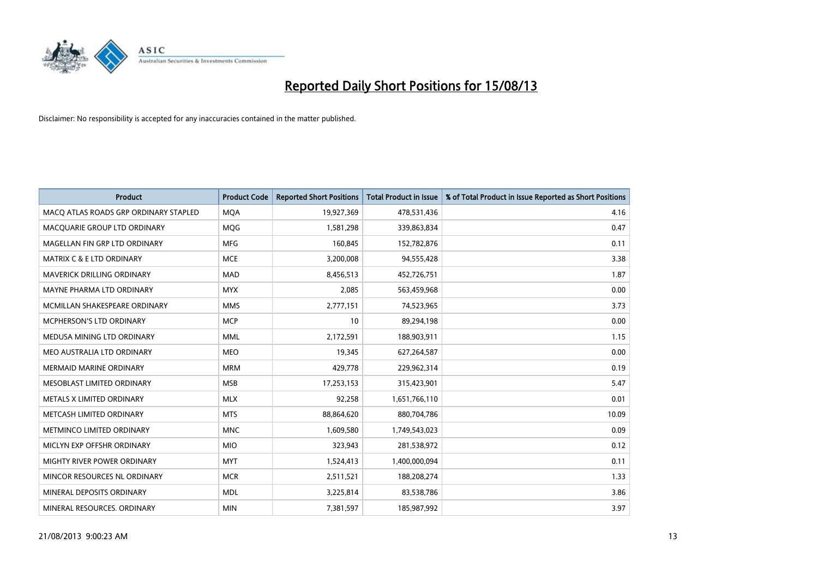

| <b>Product</b>                        | <b>Product Code</b> | <b>Reported Short Positions</b> | <b>Total Product in Issue</b> | % of Total Product in Issue Reported as Short Positions |
|---------------------------------------|---------------------|---------------------------------|-------------------------------|---------------------------------------------------------|
| MACO ATLAS ROADS GRP ORDINARY STAPLED | <b>MQA</b>          | 19,927,369                      | 478,531,436                   | 4.16                                                    |
| MACQUARIE GROUP LTD ORDINARY          | MQG                 | 1,581,298                       | 339,863,834                   | 0.47                                                    |
| MAGELLAN FIN GRP LTD ORDINARY         | <b>MFG</b>          | 160,845                         | 152,782,876                   | 0.11                                                    |
| <b>MATRIX C &amp; E LTD ORDINARY</b>  | <b>MCE</b>          | 3,200,008                       | 94,555,428                    | 3.38                                                    |
| <b>MAVERICK DRILLING ORDINARY</b>     | <b>MAD</b>          | 8,456,513                       | 452,726,751                   | 1.87                                                    |
| MAYNE PHARMA LTD ORDINARY             | <b>MYX</b>          | 2,085                           | 563,459,968                   | 0.00                                                    |
| MCMILLAN SHAKESPEARE ORDINARY         | <b>MMS</b>          | 2,777,151                       | 74,523,965                    | 3.73                                                    |
| <b>MCPHERSON'S LTD ORDINARY</b>       | <b>MCP</b>          | 10                              | 89,294,198                    | 0.00                                                    |
| MEDUSA MINING LTD ORDINARY            | <b>MML</b>          | 2,172,591                       | 188,903,911                   | 1.15                                                    |
| MEO AUSTRALIA LTD ORDINARY            | <b>MEO</b>          | 19,345                          | 627,264,587                   | 0.00                                                    |
| MERMAID MARINE ORDINARY               | <b>MRM</b>          | 429,778                         | 229,962,314                   | 0.19                                                    |
| MESOBLAST LIMITED ORDINARY            | <b>MSB</b>          | 17,253,153                      | 315,423,901                   | 5.47                                                    |
| METALS X LIMITED ORDINARY             | <b>MLX</b>          | 92,258                          | 1,651,766,110                 | 0.01                                                    |
| METCASH LIMITED ORDINARY              | <b>MTS</b>          | 88,864,620                      | 880,704,786                   | 10.09                                                   |
| METMINCO LIMITED ORDINARY             | <b>MNC</b>          | 1,609,580                       | 1,749,543,023                 | 0.09                                                    |
| MICLYN EXP OFFSHR ORDINARY            | <b>MIO</b>          | 323,943                         | 281,538,972                   | 0.12                                                    |
| MIGHTY RIVER POWER ORDINARY           | <b>MYT</b>          | 1,524,413                       | 1,400,000,094                 | 0.11                                                    |
| MINCOR RESOURCES NL ORDINARY          | <b>MCR</b>          | 2,511,521                       | 188,208,274                   | 1.33                                                    |
| MINERAL DEPOSITS ORDINARY             | <b>MDL</b>          | 3,225,814                       | 83,538,786                    | 3.86                                                    |
| MINERAL RESOURCES. ORDINARY           | <b>MIN</b>          | 7,381,597                       | 185,987,992                   | 3.97                                                    |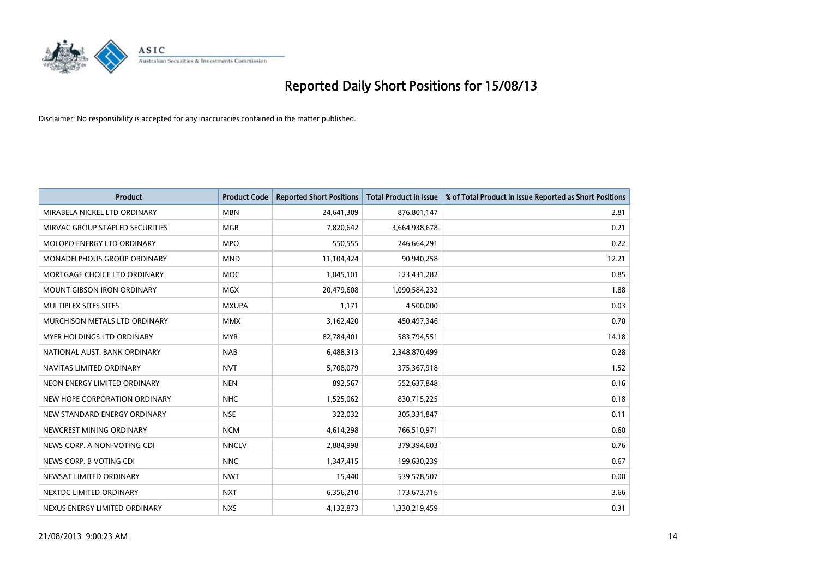

| <b>Product</b>                    | <b>Product Code</b> | <b>Reported Short Positions</b> | <b>Total Product in Issue</b> | % of Total Product in Issue Reported as Short Positions |
|-----------------------------------|---------------------|---------------------------------|-------------------------------|---------------------------------------------------------|
| MIRABELA NICKEL LTD ORDINARY      | <b>MBN</b>          | 24,641,309                      | 876,801,147                   | 2.81                                                    |
| MIRVAC GROUP STAPLED SECURITIES   | <b>MGR</b>          | 7,820,642                       | 3,664,938,678                 | 0.21                                                    |
| MOLOPO ENERGY LTD ORDINARY        | <b>MPO</b>          | 550,555                         | 246,664,291                   | 0.22                                                    |
| MONADELPHOUS GROUP ORDINARY       | <b>MND</b>          | 11,104,424                      | 90,940,258                    | 12.21                                                   |
| MORTGAGE CHOICE LTD ORDINARY      | <b>MOC</b>          | 1,045,101                       | 123,431,282                   | 0.85                                                    |
| <b>MOUNT GIBSON IRON ORDINARY</b> | MGX                 | 20,479,608                      | 1,090,584,232                 | 1.88                                                    |
| MULTIPLEX SITES SITES             | <b>MXUPA</b>        | 1.171                           | 4,500,000                     | 0.03                                                    |
| MURCHISON METALS LTD ORDINARY     | <b>MMX</b>          | 3,162,420                       | 450,497,346                   | 0.70                                                    |
| MYER HOLDINGS LTD ORDINARY        | <b>MYR</b>          | 82,784,401                      | 583,794,551                   | 14.18                                                   |
| NATIONAL AUST, BANK ORDINARY      | <b>NAB</b>          | 6,488,313                       | 2,348,870,499                 | 0.28                                                    |
| NAVITAS LIMITED ORDINARY          | <b>NVT</b>          | 5,708,079                       | 375,367,918                   | 1.52                                                    |
| NEON ENERGY LIMITED ORDINARY      | <b>NEN</b>          | 892,567                         | 552,637,848                   | 0.16                                                    |
| NEW HOPE CORPORATION ORDINARY     | <b>NHC</b>          | 1,525,062                       | 830,715,225                   | 0.18                                                    |
| NEW STANDARD ENERGY ORDINARY      | <b>NSE</b>          | 322,032                         | 305,331,847                   | 0.11                                                    |
| NEWCREST MINING ORDINARY          | <b>NCM</b>          | 4,614,298                       | 766,510,971                   | 0.60                                                    |
| NEWS CORP. A NON-VOTING CDI       | <b>NNCLV</b>        | 2,884,998                       | 379,394,603                   | 0.76                                                    |
| NEWS CORP. B VOTING CDI           | <b>NNC</b>          | 1,347,415                       | 199,630,239                   | 0.67                                                    |
| NEWSAT LIMITED ORDINARY           | <b>NWT</b>          | 15,440                          | 539,578,507                   | 0.00                                                    |
| NEXTDC LIMITED ORDINARY           | <b>NXT</b>          | 6,356,210                       | 173,673,716                   | 3.66                                                    |
| NEXUS ENERGY LIMITED ORDINARY     | <b>NXS</b>          | 4,132,873                       | 1,330,219,459                 | 0.31                                                    |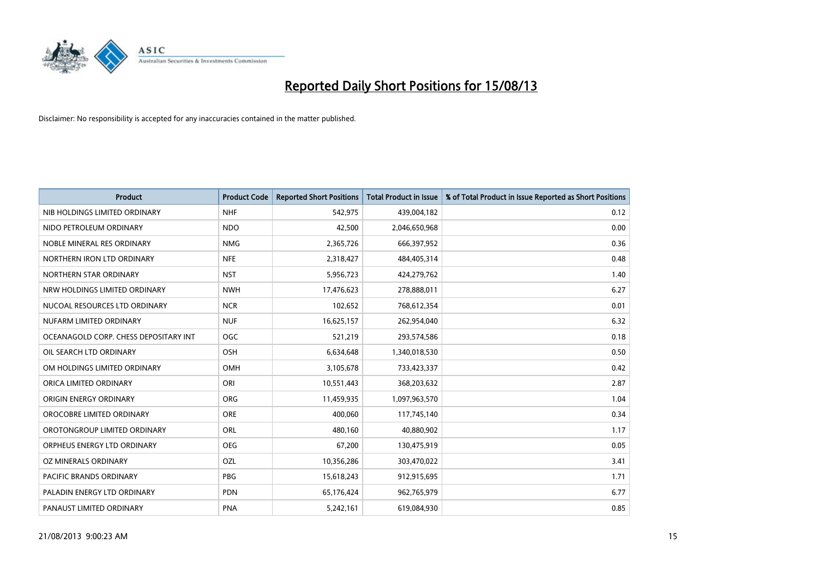

| <b>Product</b>                        | <b>Product Code</b> | <b>Reported Short Positions</b> | <b>Total Product in Issue</b> | % of Total Product in Issue Reported as Short Positions |
|---------------------------------------|---------------------|---------------------------------|-------------------------------|---------------------------------------------------------|
| NIB HOLDINGS LIMITED ORDINARY         | <b>NHF</b>          | 542,975                         | 439,004,182                   | 0.12                                                    |
| NIDO PETROLEUM ORDINARY               | <b>NDO</b>          | 42,500                          | 2,046,650,968                 | 0.00                                                    |
| NOBLE MINERAL RES ORDINARY            | <b>NMG</b>          | 2,365,726                       | 666,397,952                   | 0.36                                                    |
| NORTHERN IRON LTD ORDINARY            | <b>NFE</b>          | 2,318,427                       | 484,405,314                   | 0.48                                                    |
| NORTHERN STAR ORDINARY                | <b>NST</b>          | 5,956,723                       | 424,279,762                   | 1.40                                                    |
| NRW HOLDINGS LIMITED ORDINARY         | <b>NWH</b>          | 17,476,623                      | 278,888,011                   | 6.27                                                    |
| NUCOAL RESOURCES LTD ORDINARY         | <b>NCR</b>          | 102,652                         | 768,612,354                   | 0.01                                                    |
| NUFARM LIMITED ORDINARY               | <b>NUF</b>          | 16,625,157                      | 262,954,040                   | 6.32                                                    |
| OCEANAGOLD CORP. CHESS DEPOSITARY INT | <b>OGC</b>          | 521,219                         | 293,574,586                   | 0.18                                                    |
| OIL SEARCH LTD ORDINARY               | OSH                 | 6,634,648                       | 1,340,018,530                 | 0.50                                                    |
| OM HOLDINGS LIMITED ORDINARY          | <b>OMH</b>          | 3,105,678                       | 733,423,337                   | 0.42                                                    |
| ORICA LIMITED ORDINARY                | ORI                 | 10,551,443                      | 368,203,632                   | 2.87                                                    |
| ORIGIN ENERGY ORDINARY                | <b>ORG</b>          | 11,459,935                      | 1,097,963,570                 | 1.04                                                    |
| OROCOBRE LIMITED ORDINARY             | <b>ORE</b>          | 400,060                         | 117,745,140                   | 0.34                                                    |
| OROTONGROUP LIMITED ORDINARY          | <b>ORL</b>          | 480,160                         | 40,880,902                    | 1.17                                                    |
| ORPHEUS ENERGY LTD ORDINARY           | <b>OEG</b>          | 67,200                          | 130,475,919                   | 0.05                                                    |
| OZ MINERALS ORDINARY                  | OZL                 | 10,356,286                      | 303,470,022                   | 3.41                                                    |
| PACIFIC BRANDS ORDINARY               | <b>PBG</b>          | 15,618,243                      | 912,915,695                   | 1.71                                                    |
| PALADIN ENERGY LTD ORDINARY           | <b>PDN</b>          | 65,176,424                      | 962,765,979                   | 6.77                                                    |
| PANAUST LIMITED ORDINARY              | <b>PNA</b>          | 5,242,161                       | 619,084,930                   | 0.85                                                    |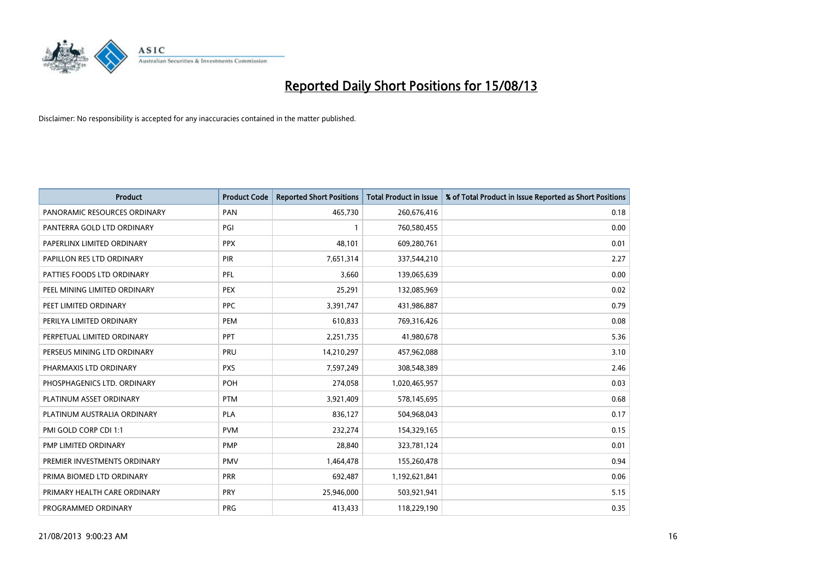

| <b>Product</b>               | <b>Product Code</b> | <b>Reported Short Positions</b> | <b>Total Product in Issue</b> | % of Total Product in Issue Reported as Short Positions |
|------------------------------|---------------------|---------------------------------|-------------------------------|---------------------------------------------------------|
| PANORAMIC RESOURCES ORDINARY | PAN                 | 465,730                         | 260,676,416                   | 0.18                                                    |
| PANTERRA GOLD LTD ORDINARY   | PGI                 | $\mathbf{1}$                    | 760,580,455                   | 0.00                                                    |
| PAPERLINX LIMITED ORDINARY   | <b>PPX</b>          | 48,101                          | 609,280,761                   | 0.01                                                    |
| PAPILLON RES LTD ORDINARY    | <b>PIR</b>          | 7,651,314                       | 337,544,210                   | 2.27                                                    |
| PATTIES FOODS LTD ORDINARY   | PFL                 | 3,660                           | 139,065,639                   | 0.00                                                    |
| PEEL MINING LIMITED ORDINARY | <b>PEX</b>          | 25,291                          | 132,085,969                   | 0.02                                                    |
| PEET LIMITED ORDINARY        | <b>PPC</b>          | 3,391,747                       | 431,986,887                   | 0.79                                                    |
| PERILYA LIMITED ORDINARY     | <b>PEM</b>          | 610,833                         | 769,316,426                   | 0.08                                                    |
| PERPETUAL LIMITED ORDINARY   | PPT                 | 2,251,735                       | 41,980,678                    | 5.36                                                    |
| PERSEUS MINING LTD ORDINARY  | PRU                 | 14,210,297                      | 457,962,088                   | 3.10                                                    |
| PHARMAXIS LTD ORDINARY       | <b>PXS</b>          | 7,597,249                       | 308,548,389                   | 2.46                                                    |
| PHOSPHAGENICS LTD. ORDINARY  | POH                 | 274,058                         | 1,020,465,957                 | 0.03                                                    |
| PLATINUM ASSET ORDINARY      | <b>PTM</b>          | 3,921,409                       | 578,145,695                   | 0.68                                                    |
| PLATINUM AUSTRALIA ORDINARY  | <b>PLA</b>          | 836,127                         | 504,968,043                   | 0.17                                                    |
| PMI GOLD CORP CDI 1:1        | <b>PVM</b>          | 232,274                         | 154,329,165                   | 0.15                                                    |
| PMP LIMITED ORDINARY         | <b>PMP</b>          | 28,840                          | 323,781,124                   | 0.01                                                    |
| PREMIER INVESTMENTS ORDINARY | <b>PMV</b>          | 1,464,478                       | 155,260,478                   | 0.94                                                    |
| PRIMA BIOMED LTD ORDINARY    | <b>PRR</b>          | 692,487                         | 1,192,621,841                 | 0.06                                                    |
| PRIMARY HEALTH CARE ORDINARY | <b>PRY</b>          | 25,946,000                      | 503,921,941                   | 5.15                                                    |
| PROGRAMMED ORDINARY          | <b>PRG</b>          | 413,433                         | 118,229,190                   | 0.35                                                    |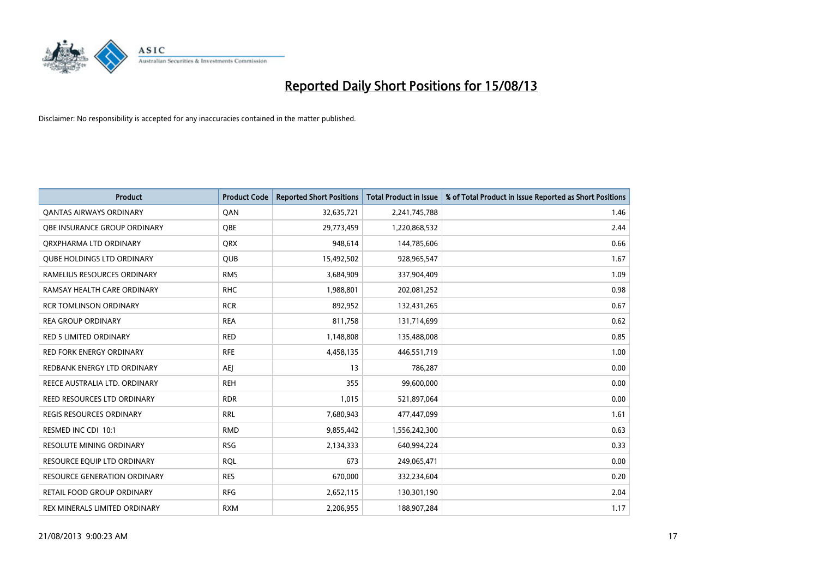

| <b>Product</b>                      | <b>Product Code</b> | <b>Reported Short Positions</b> | <b>Total Product in Issue</b> | % of Total Product in Issue Reported as Short Positions |
|-------------------------------------|---------------------|---------------------------------|-------------------------------|---------------------------------------------------------|
| <b>QANTAS AIRWAYS ORDINARY</b>      | QAN                 | 32,635,721                      | 2,241,745,788                 | 1.46                                                    |
| <b>OBE INSURANCE GROUP ORDINARY</b> | <b>OBE</b>          | 29,773,459                      | 1,220,868,532                 | 2.44                                                    |
| ORXPHARMA LTD ORDINARY              | <b>QRX</b>          | 948,614                         | 144,785,606                   | 0.66                                                    |
| <b>QUBE HOLDINGS LTD ORDINARY</b>   | <b>QUB</b>          | 15,492,502                      | 928,965,547                   | 1.67                                                    |
| RAMELIUS RESOURCES ORDINARY         | <b>RMS</b>          | 3,684,909                       | 337,904,409                   | 1.09                                                    |
| RAMSAY HEALTH CARE ORDINARY         | <b>RHC</b>          | 1,988,801                       | 202,081,252                   | 0.98                                                    |
| <b>RCR TOMLINSON ORDINARY</b>       | <b>RCR</b>          | 892,952                         | 132,431,265                   | 0.67                                                    |
| REA GROUP ORDINARY                  | <b>REA</b>          | 811,758                         | 131,714,699                   | 0.62                                                    |
| RED 5 LIMITED ORDINARY              | <b>RED</b>          | 1,148,808                       | 135,488,008                   | 0.85                                                    |
| <b>RED FORK ENERGY ORDINARY</b>     | <b>RFE</b>          | 4,458,135                       | 446,551,719                   | 1.00                                                    |
| REDBANK ENERGY LTD ORDINARY         | AEJ                 | 13                              | 786,287                       | 0.00                                                    |
| REECE AUSTRALIA LTD. ORDINARY       | <b>REH</b>          | 355                             | 99,600,000                    | 0.00                                                    |
| REED RESOURCES LTD ORDINARY         | <b>RDR</b>          | 1,015                           | 521,897,064                   | 0.00                                                    |
| <b>REGIS RESOURCES ORDINARY</b>     | <b>RRL</b>          | 7,680,943                       | 477,447,099                   | 1.61                                                    |
| RESMED INC CDI 10:1                 | <b>RMD</b>          | 9,855,442                       | 1,556,242,300                 | 0.63                                                    |
| <b>RESOLUTE MINING ORDINARY</b>     | <b>RSG</b>          | 2,134,333                       | 640,994,224                   | 0.33                                                    |
| RESOURCE EQUIP LTD ORDINARY         | <b>RQL</b>          | 673                             | 249,065,471                   | 0.00                                                    |
| RESOURCE GENERATION ORDINARY        | <b>RES</b>          | 670,000                         | 332,234,604                   | 0.20                                                    |
| <b>RETAIL FOOD GROUP ORDINARY</b>   | <b>RFG</b>          | 2,652,115                       | 130,301,190                   | 2.04                                                    |
| REX MINERALS LIMITED ORDINARY       | <b>RXM</b>          | 2,206,955                       | 188,907,284                   | 1.17                                                    |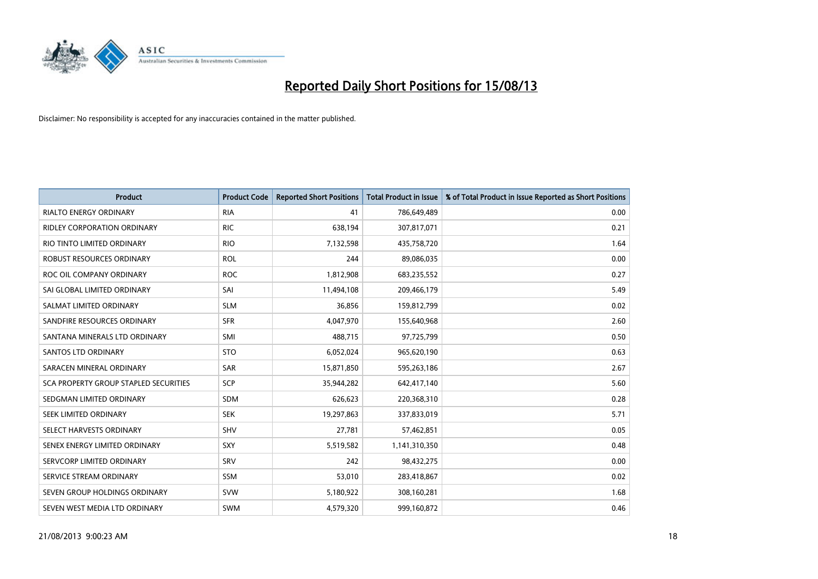

| <b>Product</b>                        | <b>Product Code</b> | <b>Reported Short Positions</b> | <b>Total Product in Issue</b> | % of Total Product in Issue Reported as Short Positions |
|---------------------------------------|---------------------|---------------------------------|-------------------------------|---------------------------------------------------------|
| <b>RIALTO ENERGY ORDINARY</b>         | <b>RIA</b>          | 41                              | 786,649,489                   | 0.00                                                    |
| <b>RIDLEY CORPORATION ORDINARY</b>    | <b>RIC</b>          | 638,194                         | 307,817,071                   | 0.21                                                    |
| RIO TINTO LIMITED ORDINARY            | <b>RIO</b>          | 7,132,598                       | 435,758,720                   | 1.64                                                    |
| <b>ROBUST RESOURCES ORDINARY</b>      | <b>ROL</b>          | 244                             | 89,086,035                    | 0.00                                                    |
| ROC OIL COMPANY ORDINARY              | <b>ROC</b>          | 1,812,908                       | 683,235,552                   | 0.27                                                    |
| SAI GLOBAL LIMITED ORDINARY           | SAI                 | 11,494,108                      | 209,466,179                   | 5.49                                                    |
| SALMAT LIMITED ORDINARY               | <b>SLM</b>          | 36,856                          | 159,812,799                   | 0.02                                                    |
| SANDFIRE RESOURCES ORDINARY           | <b>SFR</b>          | 4,047,970                       | 155,640,968                   | 2.60                                                    |
| SANTANA MINERALS LTD ORDINARY         | SMI                 | 488,715                         | 97,725,799                    | 0.50                                                    |
| SANTOS LTD ORDINARY                   | <b>STO</b>          | 6,052,024                       | 965,620,190                   | 0.63                                                    |
| SARACEN MINERAL ORDINARY              | SAR                 | 15,871,850                      | 595,263,186                   | 2.67                                                    |
| SCA PROPERTY GROUP STAPLED SECURITIES | SCP                 | 35,944,282                      | 642,417,140                   | 5.60                                                    |
| SEDGMAN LIMITED ORDINARY              | <b>SDM</b>          | 626,623                         | 220,368,310                   | 0.28                                                    |
| SEEK LIMITED ORDINARY                 | <b>SEK</b>          | 19,297,863                      | 337,833,019                   | 5.71                                                    |
| SELECT HARVESTS ORDINARY              | SHV                 | 27,781                          | 57,462,851                    | 0.05                                                    |
| SENEX ENERGY LIMITED ORDINARY         | <b>SXY</b>          | 5,519,582                       | 1,141,310,350                 | 0.48                                                    |
| SERVCORP LIMITED ORDINARY             | SRV                 | 242                             | 98,432,275                    | 0.00                                                    |
| SERVICE STREAM ORDINARY               | <b>SSM</b>          | 53,010                          | 283,418,867                   | 0.02                                                    |
| SEVEN GROUP HOLDINGS ORDINARY         | <b>SVW</b>          | 5,180,922                       | 308,160,281                   | 1.68                                                    |
| SEVEN WEST MEDIA LTD ORDINARY         | <b>SWM</b>          | 4,579,320                       | 999,160,872                   | 0.46                                                    |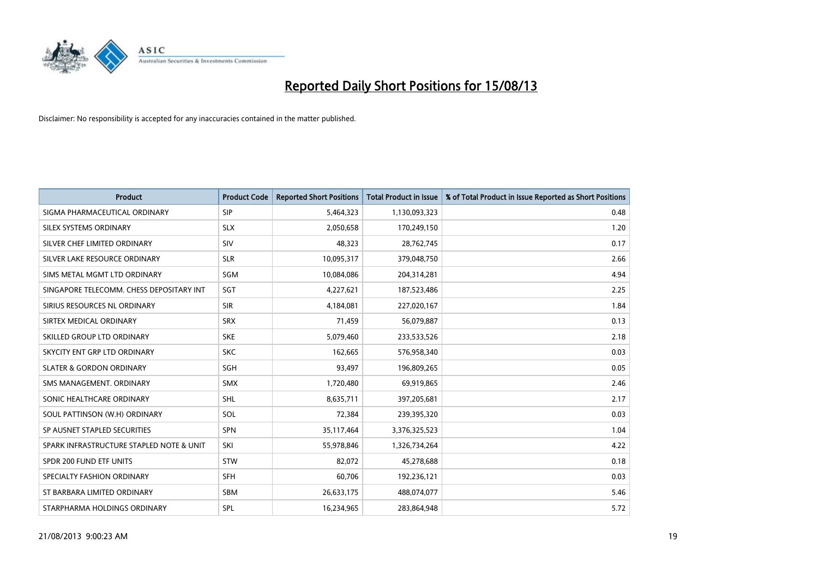

| <b>Product</b>                           | <b>Product Code</b> | <b>Reported Short Positions</b> | <b>Total Product in Issue</b> | % of Total Product in Issue Reported as Short Positions |
|------------------------------------------|---------------------|---------------------------------|-------------------------------|---------------------------------------------------------|
| SIGMA PHARMACEUTICAL ORDINARY            | <b>SIP</b>          | 5,464,323                       | 1,130,093,323                 | 0.48                                                    |
| SILEX SYSTEMS ORDINARY                   | <b>SLX</b>          | 2,050,658                       | 170,249,150                   | 1.20                                                    |
| SILVER CHEF LIMITED ORDINARY             | SIV                 | 48,323                          | 28,762,745                    | 0.17                                                    |
| SILVER LAKE RESOURCE ORDINARY            | <b>SLR</b>          | 10,095,317                      | 379,048,750                   | 2.66                                                    |
| SIMS METAL MGMT LTD ORDINARY             | SGM                 | 10,084,086                      | 204,314,281                   | 4.94                                                    |
| SINGAPORE TELECOMM. CHESS DEPOSITARY INT | <b>SGT</b>          | 4,227,621                       | 187,523,486                   | 2.25                                                    |
| SIRIUS RESOURCES NL ORDINARY             | <b>SIR</b>          | 4,184,081                       | 227,020,167                   | 1.84                                                    |
| SIRTEX MEDICAL ORDINARY                  | <b>SRX</b>          | 71,459                          | 56,079,887                    | 0.13                                                    |
| SKILLED GROUP LTD ORDINARY               | <b>SKE</b>          | 5,079,460                       | 233,533,526                   | 2.18                                                    |
| SKYCITY ENT GRP LTD ORDINARY             | <b>SKC</b>          | 162,665                         | 576,958,340                   | 0.03                                                    |
| <b>SLATER &amp; GORDON ORDINARY</b>      | SGH                 | 93,497                          | 196,809,265                   | 0.05                                                    |
| SMS MANAGEMENT. ORDINARY                 | <b>SMX</b>          | 1,720,480                       | 69,919,865                    | 2.46                                                    |
| SONIC HEALTHCARE ORDINARY                | SHL                 | 8,635,711                       | 397,205,681                   | 2.17                                                    |
| SOUL PATTINSON (W.H) ORDINARY            | SOL                 | 72,384                          | 239,395,320                   | 0.03                                                    |
| SP AUSNET STAPLED SECURITIES             | SPN                 | 35,117,464                      | 3,376,325,523                 | 1.04                                                    |
| SPARK INFRASTRUCTURE STAPLED NOTE & UNIT | SKI                 | 55,978,846                      | 1,326,734,264                 | 4.22                                                    |
| SPDR 200 FUND ETF UNITS                  | <b>STW</b>          | 82,072                          | 45,278,688                    | 0.18                                                    |
| SPECIALTY FASHION ORDINARY               | <b>SFH</b>          | 60.706                          | 192,236,121                   | 0.03                                                    |
| ST BARBARA LIMITED ORDINARY              | <b>SBM</b>          | 26,633,175                      | 488,074,077                   | 5.46                                                    |
| STARPHARMA HOLDINGS ORDINARY             | SPL                 | 16,234,965                      | 283,864,948                   | 5.72                                                    |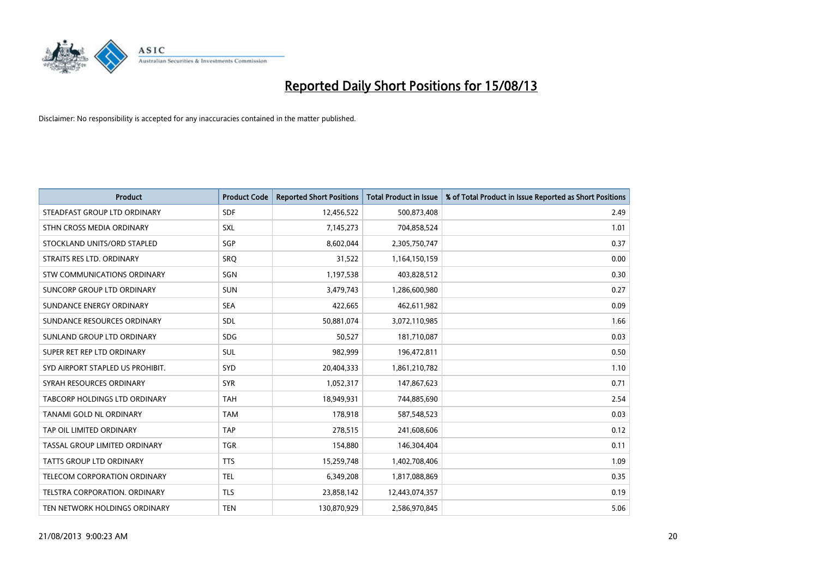

| <b>Product</b>                   | <b>Product Code</b> | <b>Reported Short Positions</b> | <b>Total Product in Issue</b> | % of Total Product in Issue Reported as Short Positions |
|----------------------------------|---------------------|---------------------------------|-------------------------------|---------------------------------------------------------|
| STEADFAST GROUP LTD ORDINARY     | <b>SDF</b>          | 12,456,522                      | 500,873,408                   | 2.49                                                    |
| STHN CROSS MEDIA ORDINARY        | <b>SXL</b>          | 7,145,273                       | 704,858,524                   | 1.01                                                    |
| STOCKLAND UNITS/ORD STAPLED      | SGP                 | 8,602,044                       | 2,305,750,747                 | 0.37                                                    |
| STRAITS RES LTD. ORDINARY        | SRO                 | 31,522                          | 1,164,150,159                 | 0.00                                                    |
| STW COMMUNICATIONS ORDINARY      | SGN                 | 1,197,538                       | 403,828,512                   | 0.30                                                    |
| SUNCORP GROUP LTD ORDINARY       | <b>SUN</b>          | 3,479,743                       | 1,286,600,980                 | 0.27                                                    |
| SUNDANCE ENERGY ORDINARY         | <b>SEA</b>          | 422,665                         | 462,611,982                   | 0.09                                                    |
| SUNDANCE RESOURCES ORDINARY      | SDL                 | 50,881,074                      | 3,072,110,985                 | 1.66                                                    |
| SUNLAND GROUP LTD ORDINARY       | <b>SDG</b>          | 50,527                          | 181,710,087                   | 0.03                                                    |
| SUPER RET REP LTD ORDINARY       | SUL                 | 982,999                         | 196,472,811                   | 0.50                                                    |
| SYD AIRPORT STAPLED US PROHIBIT. | <b>SYD</b>          | 20,404,333                      | 1,861,210,782                 | 1.10                                                    |
| SYRAH RESOURCES ORDINARY         | <b>SYR</b>          | 1,052,317                       | 147,867,623                   | 0.71                                                    |
| TABCORP HOLDINGS LTD ORDINARY    | <b>TAH</b>          | 18,949,931                      | 744,885,690                   | 2.54                                                    |
| TANAMI GOLD NL ORDINARY          | <b>TAM</b>          | 178,918                         | 587,548,523                   | 0.03                                                    |
| TAP OIL LIMITED ORDINARY         | <b>TAP</b>          | 278,515                         | 241,608,606                   | 0.12                                                    |
| TASSAL GROUP LIMITED ORDINARY    | <b>TGR</b>          | 154,880                         | 146,304,404                   | 0.11                                                    |
| TATTS GROUP LTD ORDINARY         | <b>TTS</b>          | 15,259,748                      | 1,402,708,406                 | 1.09                                                    |
| TELECOM CORPORATION ORDINARY     | <b>TEL</b>          | 6,349,208                       | 1,817,088,869                 | 0.35                                                    |
| TELSTRA CORPORATION, ORDINARY    | <b>TLS</b>          | 23,858,142                      | 12,443,074,357                | 0.19                                                    |
| TEN NETWORK HOLDINGS ORDINARY    | <b>TEN</b>          | 130,870,929                     | 2,586,970,845                 | 5.06                                                    |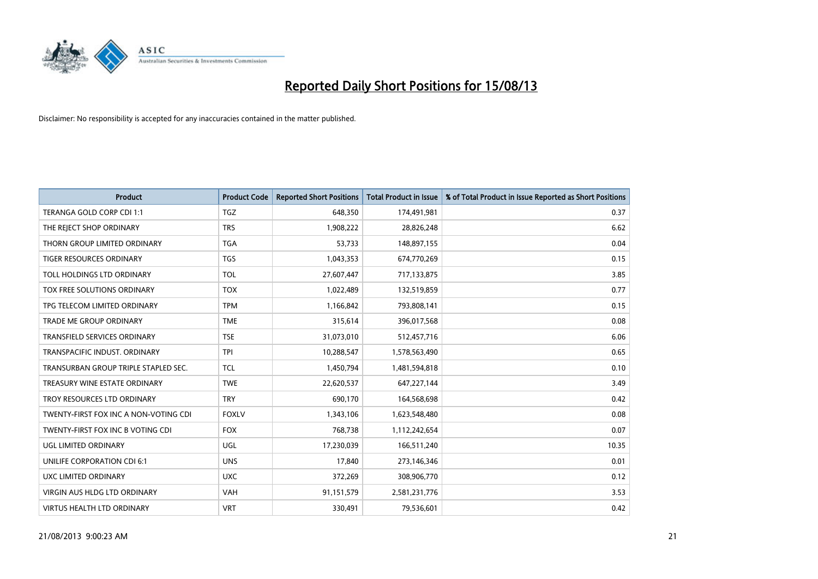

| <b>Product</b>                        | <b>Product Code</b> | <b>Reported Short Positions</b> | <b>Total Product in Issue</b> | % of Total Product in Issue Reported as Short Positions |
|---------------------------------------|---------------------|---------------------------------|-------------------------------|---------------------------------------------------------|
| TERANGA GOLD CORP CDI 1:1             | <b>TGZ</b>          | 648,350                         | 174,491,981                   | 0.37                                                    |
| THE REJECT SHOP ORDINARY              | <b>TRS</b>          | 1,908,222                       | 28,826,248                    | 6.62                                                    |
| THORN GROUP LIMITED ORDINARY          | <b>TGA</b>          | 53,733                          | 148,897,155                   | 0.04                                                    |
| <b>TIGER RESOURCES ORDINARY</b>       | <b>TGS</b>          | 1,043,353                       | 674,770,269                   | 0.15                                                    |
| TOLL HOLDINGS LTD ORDINARY            | <b>TOL</b>          | 27,607,447                      | 717,133,875                   | 3.85                                                    |
| TOX FREE SOLUTIONS ORDINARY           | <b>TOX</b>          | 1,022,489                       | 132,519,859                   | 0.77                                                    |
| TPG TELECOM LIMITED ORDINARY          | <b>TPM</b>          | 1,166,842                       | 793,808,141                   | 0.15                                                    |
| TRADE ME GROUP ORDINARY               | <b>TME</b>          | 315,614                         | 396,017,568                   | 0.08                                                    |
| <b>TRANSFIELD SERVICES ORDINARY</b>   | <b>TSE</b>          | 31,073,010                      | 512,457,716                   | 6.06                                                    |
| TRANSPACIFIC INDUST, ORDINARY         | <b>TPI</b>          | 10,288,547                      | 1,578,563,490                 | 0.65                                                    |
| TRANSURBAN GROUP TRIPLE STAPLED SEC.  | TCL                 | 1,450,794                       | 1,481,594,818                 | 0.10                                                    |
| TREASURY WINE ESTATE ORDINARY         | <b>TWE</b>          | 22,620,537                      | 647,227,144                   | 3.49                                                    |
| TROY RESOURCES LTD ORDINARY           | <b>TRY</b>          | 690,170                         | 164,568,698                   | 0.42                                                    |
| TWENTY-FIRST FOX INC A NON-VOTING CDI | <b>FOXLV</b>        | 1,343,106                       | 1,623,548,480                 | 0.08                                                    |
| TWENTY-FIRST FOX INC B VOTING CDI     | <b>FOX</b>          | 768,738                         | 1,112,242,654                 | 0.07                                                    |
| UGL LIMITED ORDINARY                  | UGL                 | 17,230,039                      | 166,511,240                   | 10.35                                                   |
| UNILIFE CORPORATION CDI 6:1           | <b>UNS</b>          | 17,840                          | 273,146,346                   | 0.01                                                    |
| UXC LIMITED ORDINARY                  | <b>UXC</b>          | 372,269                         | 308,906,770                   | 0.12                                                    |
| VIRGIN AUS HLDG LTD ORDINARY          | <b>VAH</b>          | 91,151,579                      | 2,581,231,776                 | 3.53                                                    |
| <b>VIRTUS HEALTH LTD ORDINARY</b>     | <b>VRT</b>          | 330,491                         | 79,536,601                    | 0.42                                                    |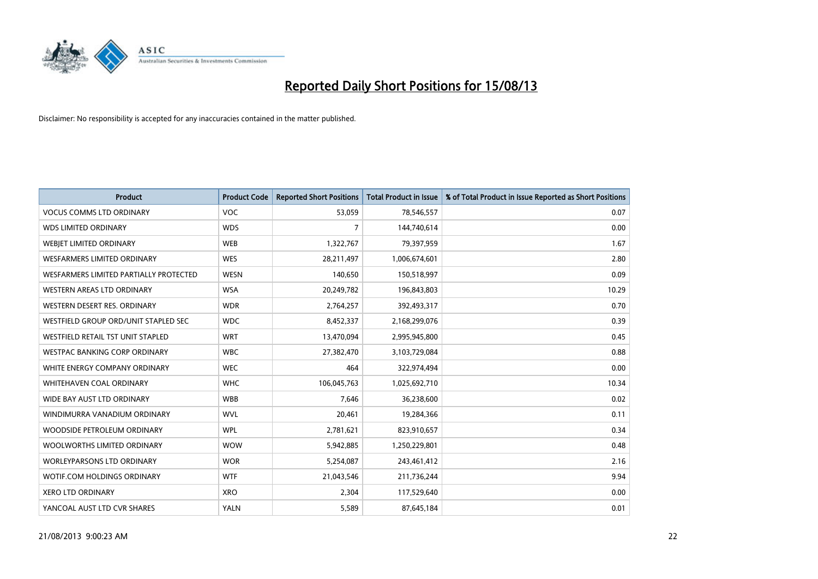

| <b>Product</b>                         | <b>Product Code</b> | <b>Reported Short Positions</b> | <b>Total Product in Issue</b> | % of Total Product in Issue Reported as Short Positions |
|----------------------------------------|---------------------|---------------------------------|-------------------------------|---------------------------------------------------------|
| <b>VOCUS COMMS LTD ORDINARY</b>        | <b>VOC</b>          | 53,059                          | 78,546,557                    | 0.07                                                    |
| <b>WDS LIMITED ORDINARY</b>            | <b>WDS</b>          | 7                               | 144,740,614                   | 0.00                                                    |
| WEBIET LIMITED ORDINARY                | <b>WEB</b>          | 1,322,767                       | 79,397,959                    | 1.67                                                    |
| <b>WESFARMERS LIMITED ORDINARY</b>     | <b>WES</b>          | 28,211,497                      | 1,006,674,601                 | 2.80                                                    |
| WESFARMERS LIMITED PARTIALLY PROTECTED | <b>WESN</b>         | 140,650                         | 150,518,997                   | 0.09                                                    |
| WESTERN AREAS LTD ORDINARY             | <b>WSA</b>          | 20,249,782                      | 196,843,803                   | 10.29                                                   |
| WESTERN DESERT RES. ORDINARY           | <b>WDR</b>          | 2,764,257                       | 392,493,317                   | 0.70                                                    |
| WESTFIELD GROUP ORD/UNIT STAPLED SEC   | <b>WDC</b>          | 8,452,337                       | 2,168,299,076                 | 0.39                                                    |
| WESTFIELD RETAIL TST UNIT STAPLED      | <b>WRT</b>          | 13,470,094                      | 2,995,945,800                 | 0.45                                                    |
| <b>WESTPAC BANKING CORP ORDINARY</b>   | <b>WBC</b>          | 27,382,470                      | 3,103,729,084                 | 0.88                                                    |
| WHITE ENERGY COMPANY ORDINARY          | <b>WEC</b>          | 464                             | 322,974,494                   | 0.00                                                    |
| WHITEHAVEN COAL ORDINARY               | <b>WHC</b>          | 106,045,763                     | 1,025,692,710                 | 10.34                                                   |
| WIDE BAY AUST LTD ORDINARY             | <b>WBB</b>          | 7,646                           | 36,238,600                    | 0.02                                                    |
| WINDIMURRA VANADIUM ORDINARY           | <b>WVL</b>          | 20,461                          | 19,284,366                    | 0.11                                                    |
| WOODSIDE PETROLEUM ORDINARY            | <b>WPL</b>          | 2,781,621                       | 823,910,657                   | 0.34                                                    |
| WOOLWORTHS LIMITED ORDINARY            | <b>WOW</b>          | 5,942,885                       | 1,250,229,801                 | 0.48                                                    |
| <b>WORLEYPARSONS LTD ORDINARY</b>      | <b>WOR</b>          | 5,254,087                       | 243,461,412                   | 2.16                                                    |
| WOTIF.COM HOLDINGS ORDINARY            | <b>WTF</b>          | 21,043,546                      | 211,736,244                   | 9.94                                                    |
| <b>XERO LTD ORDINARY</b>               | <b>XRO</b>          | 2,304                           | 117,529,640                   | 0.00                                                    |
| YANCOAL AUST LTD CVR SHARES            | <b>YALN</b>         | 5,589                           | 87,645,184                    | 0.01                                                    |